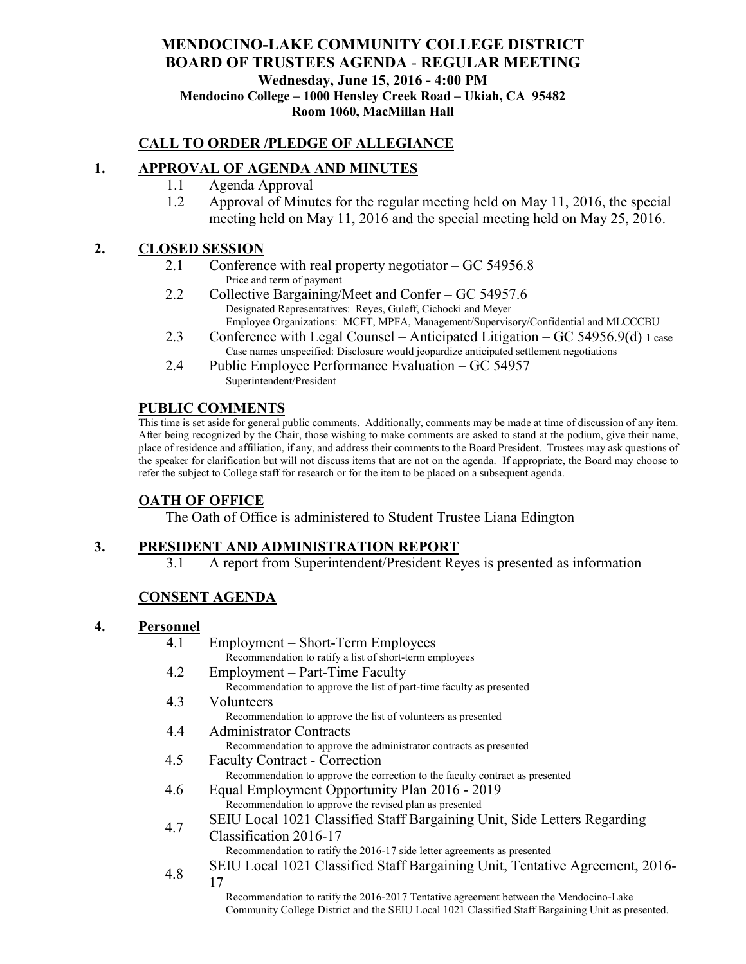### **MENDOCINO-LAKE COMMUNITY COLLEGE DISTRICT BOARD OF TRUSTEES AGENDA** - **REGULAR MEETING Wednesday, June 15, 2016 - 4:00 PM Mendocino College – 1000 Hensley Creek Road – Ukiah, CA 95482 Room 1060, MacMillan Hall**

### **CALL TO ORDER /PLEDGE OF ALLEGIANCE**

### **1. APPROVAL OF AGENDA AND MINUTES**

- 1.1 Agenda Approval
- 1.2 Approval of Minutes for the regular meeting held on May 11, 2016, the special meeting held on May 11, 2016 and the special meeting held on May 25, 2016.

### **2. CLOSED SESSION**

- 2.1 Conference with real property negotiator GC 54956.8 Price and term of payment
- 2.2 Collective Bargaining/Meet and Confer GC 54957.6 Designated Representatives: Reyes, Guleff, Cichocki and Meyer Employee Organizations: MCFT, MPFA, Management/Supervisory/Confidential and MLCCCBU
- 2.3 Conference with Legal Counsel Anticipated Litigation GC 54956.9(d) 1 case Case names unspecified: Disclosure would jeopardize anticipated settlement negotiations
- 2.4 Public Employee Performance Evaluation GC 54957 Superintendent/President

### **PUBLIC COMMENTS**

This time is set aside for general public comments. Additionally, comments may be made at time of discussion of any item. After being recognized by the Chair, those wishing to make comments are asked to stand at the podium, give their name, place of residence and affiliation, if any, and address their comments to the Board President. Trustees may ask questions of the speaker for clarification but will not discuss items that are not on the agenda. If appropriate, the Board may choose to refer the subject to College staff for research or for the item to be placed on a subsequent agenda.

#### **OATH OF OFFICE**

The Oath of Office is administered to Student Trustee Liana Edington

### **3. PRESIDENT AND ADMINISTRATION REPORT**

3.1 A report from Superintendent/President Reyes is presented as information

### **CONSENT AGENDA**

#### **4. Personnel**

|     | Employment – Short-Term Employees<br>4.1                                                          |
|-----|---------------------------------------------------------------------------------------------------|
|     | Recommendation to ratify a list of short-term employees                                           |
|     | Employment – Part-Time Faculty<br>4.2                                                             |
|     | Recommendation to approve the list of part-time faculty as presented                              |
|     | 4.3<br>Volunteers                                                                                 |
|     | Recommendation to approve the list of volunteers as presented                                     |
|     | <b>Administrator Contracts</b><br>4.4                                                             |
|     | Recommendation to approve the administrator contracts as presented                                |
|     | 4.5<br><b>Faculty Contract - Correction</b>                                                       |
|     | Recommendation to approve the correction to the faculty contract as presented                     |
|     | Equal Employment Opportunity Plan 2016 - 2019<br>4.6                                              |
|     | Recommendation to approve the revised plan as presented                                           |
|     | SEIU Local 1021 Classified Staff Bargaining Unit, Side Letters Regarding                          |
|     | 4.7<br>Classification 2016-17                                                                     |
|     | Recommendation to ratify the 2016-17 side letter agreements as presented                          |
| 4.8 | SEIU Local 1021 Classified Staff Bargaining Unit, Tentative Agreement, 2016-                      |
|     | 17                                                                                                |
|     | Recommendation to ratify the 2016-2017 Tentative agreement between the Mendocino-Lake             |
|     | Community College District and the SEIU Local 1021 Classified Staff Bargaining Unit as presented. |